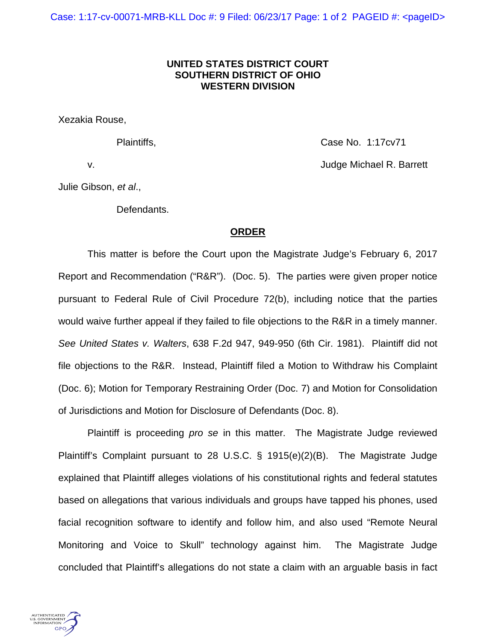## **UNITED STATES DISTRICT COURT SOUTHERN DISTRICT OF OHIO WESTERN DIVISION**

Xezakia Rouse,

Plaintiffs, Case No. 1:17cv71 v. Judge Michael R. Barrett

Julie Gibson, *et al*.,

Defendants.

## **ORDER**

This matter is before the Court upon the Magistrate Judge's February 6, 2017 Report and Recommendation ("R&R"). (Doc. 5). The parties were given proper notice pursuant to Federal Rule of Civil Procedure 72(b), including notice that the parties would waive further appeal if they failed to file objections to the R&R in a timely manner. *See United States v. Walters*, 638 F.2d 947, 949-950 (6th Cir. 1981). Plaintiff did not file objections to the R&R. Instead, Plaintiff filed a Motion to Withdraw his Complaint (Doc. 6); Motion for Temporary Restraining Order (Doc. 7) and Motion for Consolidation of Jurisdictions and Motion for Disclosure of Defendants (Doc. 8).

Plaintiff is proceeding *pro se* in this matter. The Magistrate Judge reviewed Plaintiff's Complaint pursuant to 28 U.S.C. § 1915(e)(2)(B). The Magistrate Judge explained that Plaintiff alleges violations of his constitutional rights and federal statutes based on allegations that various individuals and groups have tapped his phones, used facial recognition software to identify and follow him, and also used "Remote Neural Monitoring and Voice to Skull" technology against him. The Magistrate Judge concluded that Plaintiff's allegations do not state a claim with an arguable basis in fact